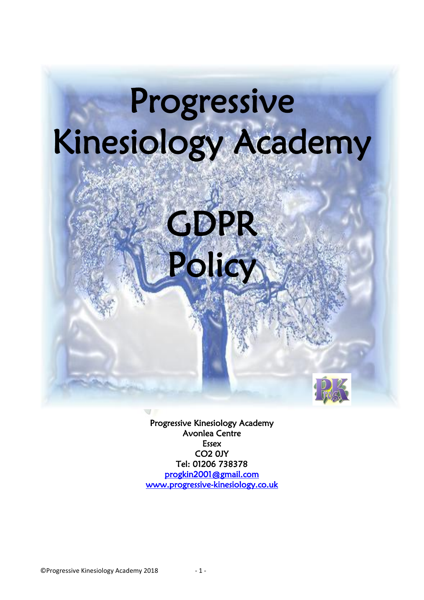

GDPR

Policy

Progressive Kinesiology Academy Avonlea Centre Essex CO2 0JY Tel: 01206 738378 [progkin2001@gmail.com](mailto:progkin2001@gmail.com?subject=Policy%20Documents)  [www.progressive-kinesiology.co.uk](http://www.progressive-kinesiology.co.uk/)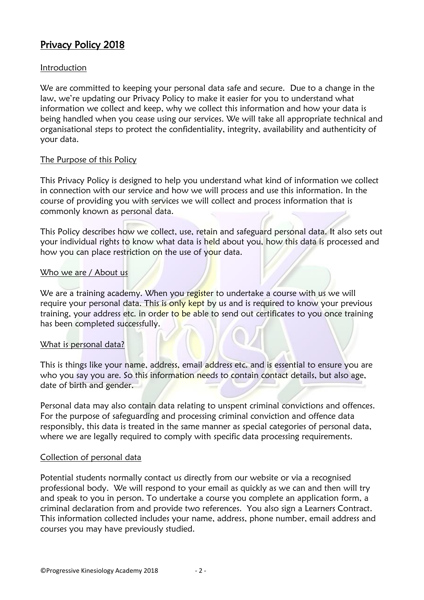# Privacy Policy 2018

## Introduction

We are committed to keeping your personal data safe and secure. Due to a change in the law, we're updating our Privacy Policy to make it easier for you to understand what information we collect and keep, why we collect this information and how your data is being handled when you cease using our services. We will take all appropriate technical and organisational steps to protect the confidentiality, integrity, availability and authenticity of your data.

## The Purpose of this Policy

This Privacy Policy is designed to help you understand what kind of information we collect in connection with our service and how we will process and use this information. In the course of providing you with services we will collect and process information that is commonly known as personal data.

This Policy describes how we collect, use, retain and safeguard personal data. It also sets out your individual rights to know what data is held about you, how this data is processed and how you can place restriction on the use of your data.

## Who we are / About us

We are a training academy. When you register to undertake a course with us we will require your personal data. This is only kept by us and is required to know your previous training, your address etc. in order to be able to send out certificates to you once training has been completed successfully.

## What is personal data?

This is things like your name, address, email address etc. and is essential to ensure you are who you say you are. So this information needs to contain contact details, but also age, date of birth and gender.

Personal data may also contain data relating to unspent criminal convictions and offences. For the purpose of safeguarding and processing criminal conviction and offence data responsibly, this data is treated in the same manner as special categories of personal data, where we are legally required to comply with specific data processing requirements.

## Collection of personal data

Potential students normally contact us directly from our website or via a recognised professional body. We will respond to your email as quickly as we can and then will try and speak to you in person. To undertake a course you complete an application form, a criminal declaration from and provide two references. You also sign a Learners Contract. This information collected includes your name, address, phone number, email address and courses you may have previously studied.